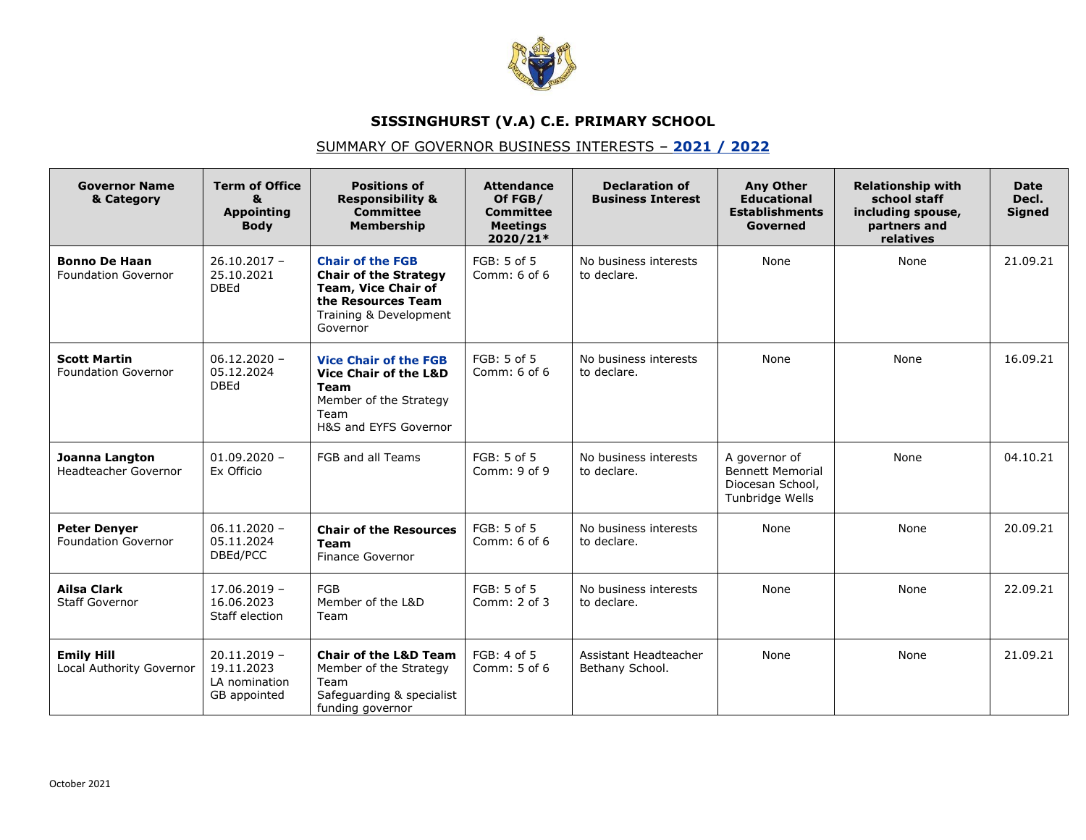

## **SISSINGHURST (V.A) C.E. PRIMARY SCHOOL**

## SUMMARY OF GOVERNOR BUSINESS INTERESTS – **2021 / 2022**

| <b>Governor Name</b><br>& Category                | <b>Term of Office</b><br>8<br><b>Appointing</b><br><b>Body</b> | <b>Positions of</b><br><b>Responsibility &amp;</b><br><b>Committee</b><br><b>Membership</b>                                                       | <b>Attendance</b><br>Of FGB/<br><b>Committee</b><br><b>Meetings</b><br>2020/21* | <b>Declaration of</b><br><b>Business Interest</b> | <b>Any Other</b><br><b>Educational</b><br><b>Establishments</b><br>Governed     | <b>Relationship with</b><br>school staff<br>including spouse,<br>partners and<br>relatives | <b>Date</b><br>Decl.<br><b>Signed</b> |
|---------------------------------------------------|----------------------------------------------------------------|---------------------------------------------------------------------------------------------------------------------------------------------------|---------------------------------------------------------------------------------|---------------------------------------------------|---------------------------------------------------------------------------------|--------------------------------------------------------------------------------------------|---------------------------------------|
| <b>Bonno De Haan</b><br>Foundation Governor       | $26.10.2017 -$<br>25.10.2021<br><b>DBEd</b>                    | <b>Chair of the FGB</b><br><b>Chair of the Strategy</b><br><b>Team, Vice Chair of</b><br>the Resources Team<br>Training & Development<br>Governor | FGB: 5 of 5<br>Comm: 6 of 6                                                     | No business interests<br>to declare.              | None                                                                            | None                                                                                       | 21.09.21                              |
| <b>Scott Martin</b><br><b>Foundation Governor</b> | $06.12.2020 -$<br>05.12.2024<br><b>DBEd</b>                    | <b>Vice Chair of the FGB</b><br><b>Vice Chair of the L&amp;D</b><br>Team<br>Member of the Strategy<br>Team<br>H&S and EYFS Governor               | FGB: 5 of 5<br>Comm: $6$ of $6$                                                 | No business interests<br>to declare.              | None                                                                            | None                                                                                       | 16.09.21                              |
| Joanna Langton<br>Headteacher Governor            | $01.09.2020 -$<br>Ex Officio                                   | FGB and all Teams                                                                                                                                 | FGB: 5 of 5<br>Comm: 9 of 9                                                     | No business interests<br>to declare.              | A governor of<br><b>Bennett Memorial</b><br>Diocesan School,<br>Tunbridge Wells | None                                                                                       | 04.10.21                              |
| <b>Peter Denver</b><br><b>Foundation Governor</b> | $06.11.2020 -$<br>05.11.2024<br>DBEd/PCC                       | <b>Chair of the Resources</b><br><b>Team</b><br><b>Finance Governor</b>                                                                           | FGB: 5 of 5<br>Comm: 6 of 6                                                     | No business interests<br>to declare.              | None                                                                            | None                                                                                       | 20.09.21                              |
| <b>Ailsa Clark</b><br><b>Staff Governor</b>       | $17.06.2019 -$<br>16.06.2023<br>Staff election                 | FGB<br>Member of the L&D<br>Team                                                                                                                  | FGB: 5 of 5<br>Comm: 2 of 3                                                     | No business interests<br>to declare.              | None                                                                            | None                                                                                       | 22.09.21                              |
| <b>Emily Hill</b><br>Local Authority Governor     | $20.11.2019 -$<br>19.11.2023<br>LA nomination<br>GB appointed  | <b>Chair of the L&amp;D Team</b><br>Member of the Strategy<br>Team<br>Safeguarding & specialist<br>funding governor                               | FGB: 4 of 5<br>Comm: 5 of 6                                                     | Assistant Headteacher<br>Bethany School.          | None                                                                            | None                                                                                       | 21.09.21                              |